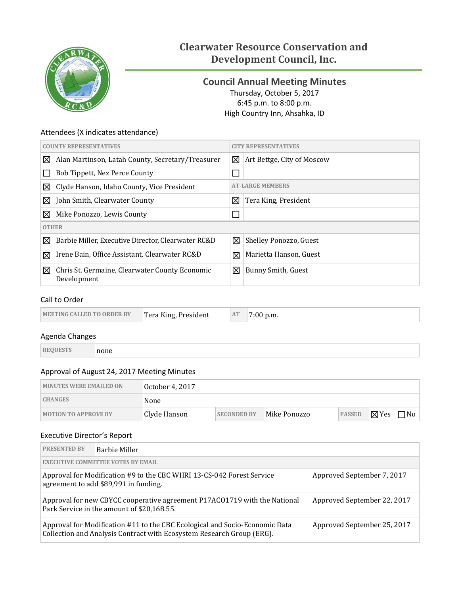

# **Clearwater Resource Conservation and Development Council, Inc.**

# <span id="page-0-0"></span>**Council Annual Meeting Minutes** Thursday, October 5, 2017 6:45 p.m. to 8:00 p.m. High Country Inn, Ahsahka, ID

### Attendees (X indicates attendance)

| <b>COUNTY REPRESENTATIVES</b> |                                                               | <b>CITY REPRESENTATIVES</b> |                            |  |  |
|-------------------------------|---------------------------------------------------------------|-----------------------------|----------------------------|--|--|
| ⊠                             | Alan Martinson, Latah County, Secretary/Treasurer             | 図                           | Art Bettge, City of Moscow |  |  |
|                               | Bob Tippett, Nez Perce County                                 |                             |                            |  |  |
| 図                             | Clyde Hanson, Idaho County, Vice President                    |                             | <b>AT-LARGE MEMBERS</b>    |  |  |
| ⊠                             | John Smith, Clearwater County                                 | ⊠                           | Tera King, President       |  |  |
| 図                             | Mike Ponozzo, Lewis County                                    | П                           |                            |  |  |
|                               | <b>OTHER</b>                                                  |                             |                            |  |  |
| ⊠                             | Barbie Miller, Executive Director, Clearwater RC&D            | ⊠                           | Shelley Ponozzo, Guest     |  |  |
| 図                             | Irene Bain, Office Assistant, Clearwater RC&D                 | 冈                           | Marietta Hanson, Guest     |  |  |
| 図                             | Chris St. Germaine, Clearwater County Economic<br>Development | 図                           | Bunny Smith, Guest         |  |  |

### Call to Order

| <b>MEETING CALLED TO ORDER BY</b> | Tera King, President | AT | 00 p.m. |
|-----------------------------------|----------------------|----|---------|
|-----------------------------------|----------------------|----|---------|

### Agenda Changes

| ____ |  |
|------|--|

### Approval of August 24, 2017 Meeting Minutes

| <b>MINUTES WERE EMAILED ON</b> | ' October 4, 2017 |                    |              |               |                 |           |
|--------------------------------|-------------------|--------------------|--------------|---------------|-----------------|-----------|
| <b>CHANGES</b>                 | None              |                    |              |               |                 |           |
| <b>MOTION TO APPROVE BY</b>    | Clyde Hanson      | <b>SECONDED BY</b> | Mike Ponozzo | <b>PASSED</b> | $\boxtimes$ Yes | $\neg$ No |

### Executive Director's Report

| <b>PRESENTED BY</b> | <b>Barbie Miller</b>                                                                                                                                   |                             |  |  |
|---------------------|--------------------------------------------------------------------------------------------------------------------------------------------------------|-----------------------------|--|--|
|                     | <b>EXECUTIVE COMMITTEE VOTES BY EMAIL</b>                                                                                                              |                             |  |  |
|                     | Approval for Modification #9 to the CBC WHRI 13-CS-042 Forest Service<br>Approved September 7, 2017<br>agreement to add \$89,991 in funding.           |                             |  |  |
|                     | Approval for new CBYCC cooperative agreement P17AC01719 with the National<br>Approved September 22, 2017<br>Park Service in the amount of \$20,168.55. |                             |  |  |
|                     | Approval for Modification #11 to the CBC Ecological and Socio-Economic Data<br>Collection and Analysis Contract with Ecosystem Research Group (ERG).   | Approved September 25, 2017 |  |  |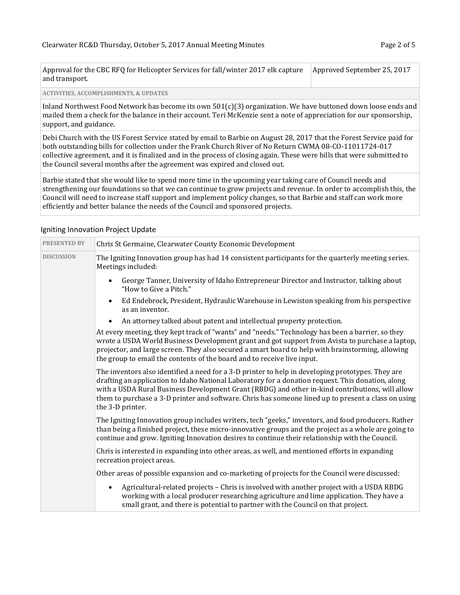| Approval for the CBC RFQ for Helicopter Services for fall/winter 2017 elk capture Approved September 25, 2017 |  |
|---------------------------------------------------------------------------------------------------------------|--|
| and transport.                                                                                                |  |

**ACTIVITIES, ACCOMPLISHMENTS, & UPDATES**

Inland Northwest Food Network has become its own 501(c)(3) organization. We have buttoned down loose ends and mailed them a check for the balance in their account. Teri McKenzie sent a note of appreciation for our sponsorship, support, and guidance.

Debi Church with the US Forest Service stated by email to Barbie on August 28, 2017 that the Forest Service paid for both outstanding bills for collection under the Frank Church River of No Return CWMA 08-CO-11011724-017 collective agreement, and it is finalized and in the process of closing again. These were bills that were submitted to the Council several months after the agreement was expired and closed out.

Barbie stated that she would like to spend more time in the upcoming year taking care of Council needs and strengthening our foundations so that we can continue to grow projects and revenue. In order to accomplish this, the Council will need to increase staff support and implement policy changes, so that Barbie and staff can work more efficiently and better balance the needs of the Council and sponsored projects.

| <b>PRESENTED BY</b> | Chris St Germaine, Clearwater County Economic Development                                                                                                                                                                                                                                                                                                                                                                            |
|---------------------|--------------------------------------------------------------------------------------------------------------------------------------------------------------------------------------------------------------------------------------------------------------------------------------------------------------------------------------------------------------------------------------------------------------------------------------|
| <b>DISCUSSION</b>   | The Igniting Innovation group has had 14 consistent participants for the quarterly meeting series.<br>Meetings included:                                                                                                                                                                                                                                                                                                             |
|                     | George Tanner, University of Idaho Entrepreneur Director and Instructor, talking about<br>"How to Give a Pitch."                                                                                                                                                                                                                                                                                                                     |
|                     | Ed Endebrock, President, Hydraulic Warehouse in Lewiston speaking from his perspective<br>as an inventor.                                                                                                                                                                                                                                                                                                                            |
|                     | An attorney talked about patent and intellectual property protection.                                                                                                                                                                                                                                                                                                                                                                |
|                     | At every meeting, they kept track of "wants" and "needs." Technology has been a barrier, so they<br>wrote a USDA World Business Development grant and got support from Avista to purchase a laptop,<br>projector, and large screen. They also secured a smart board to help with brainstorming, allowing<br>the group to email the contents of the board and to receive live input.                                                  |
|                     | The inventors also identified a need for a 3-D printer to help in developing prototypes. They are<br>drafting an application to Idaho National Laboratory for a donation request. This donation, along<br>with a USDA Rural Business Development Grant (RBDG) and other in-kind contributions, will allow<br>them to purchase a 3-D printer and software. Chris has someone lined up to present a class on using<br>the 3-D printer. |
|                     | The Igniting Innovation group includes writers, tech "geeks," inventors, and food producers. Rather<br>than being a finished project, these micro-innovative groups and the project as a whole are going to<br>continue and grow. Igniting Innovation desires to continue their relationship with the Council.                                                                                                                       |
|                     | Chris is interested in expanding into other areas, as well, and mentioned efforts in expanding<br>recreation project areas.                                                                                                                                                                                                                                                                                                          |
|                     | Other areas of possible expansion and co-marketing of projects for the Council were discussed:                                                                                                                                                                                                                                                                                                                                       |
|                     | Agricultural-related projects - Chris is involved with another project with a USDA RBDG<br>working with a local producer researching agriculture and lime application. They have a<br>small grant, and there is potential to partner with the Council on that project.                                                                                                                                                               |

#### Igniting Innovation Project Update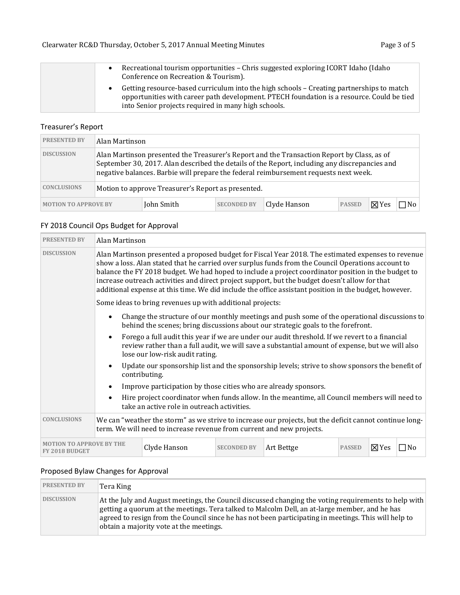| Recreational tourism opportunities - Chris suggested exploring ICORT Idaho (Idaho<br>$\bullet$<br>Conference on Recreation & Tourism).                                                                                                       |
|----------------------------------------------------------------------------------------------------------------------------------------------------------------------------------------------------------------------------------------------|
| Getting resource-based curriculum into the high schools – Creating partnerships to match<br>opportunities with career path development. PTECH foundation is a resource. Could be tied<br>into Senior projects required in many high schools. |

### Treasurer's Report

| <b>PRESENTED BY</b>                                                      | Alan Martinson                                                                                                                                                                                                                                                                      |            |                    |              |               |              |      |
|--------------------------------------------------------------------------|-------------------------------------------------------------------------------------------------------------------------------------------------------------------------------------------------------------------------------------------------------------------------------------|------------|--------------------|--------------|---------------|--------------|------|
| <b>DISCUSSION</b>                                                        | Alan Martinson presented the Treasurer's Report and the Transaction Report by Class, as of<br>September 30, 2017. Alan described the details of the Report, including any discrepancies and<br>negative balances. Barbie will prepare the federal reimbursement requests next week. |            |                    |              |               |              |      |
| <b>CONCLUSIONS</b><br>Motion to approve Treasurer's Report as presented. |                                                                                                                                                                                                                                                                                     |            |                    |              |               |              |      |
| <b>MOTION TO APPROVE BY</b>                                              |                                                                                                                                                                                                                                                                                     | John Smith | <b>SECONDED BY</b> | Clyde Hanson | <b>PASSED</b> | $\nabla$ Yes | 7 No |

# FY 2018 Council Ops Budget for Approval

| <b>PRESENTED BY</b>                                                                                                                                                                                    |                                                                                                                                                                                                                                                                                                                                                                                                                                                                                                                            | Alan Martinson                                                                                                                                                                   |                    |                                                                                                                                                                                                   |               |                 |           |
|--------------------------------------------------------------------------------------------------------------------------------------------------------------------------------------------------------|----------------------------------------------------------------------------------------------------------------------------------------------------------------------------------------------------------------------------------------------------------------------------------------------------------------------------------------------------------------------------------------------------------------------------------------------------------------------------------------------------------------------------|----------------------------------------------------------------------------------------------------------------------------------------------------------------------------------|--------------------|---------------------------------------------------------------------------------------------------------------------------------------------------------------------------------------------------|---------------|-----------------|-----------|
| <b>DISCUSSION</b>                                                                                                                                                                                      | Alan Martinson presented a proposed budget for Fiscal Year 2018. The estimated expenses to revenue<br>show a loss. Alan stated that he carried over surplus funds from the Council Operations account to<br>balance the FY 2018 budget. We had hoped to include a project coordinator position in the budget to<br>increase outreach activities and direct project support, but the budget doesn't allow for that<br>additional expense at this time. We did include the office assistant position in the budget, however. |                                                                                                                                                                                  |                    |                                                                                                                                                                                                   |               |                 |           |
|                                                                                                                                                                                                        |                                                                                                                                                                                                                                                                                                                                                                                                                                                                                                                            | Some ideas to bring revenues up with additional projects:                                                                                                                        |                    |                                                                                                                                                                                                   |               |                 |           |
|                                                                                                                                                                                                        | $\bullet$                                                                                                                                                                                                                                                                                                                                                                                                                                                                                                                  | Change the structure of our monthly meetings and push some of the operational discussions to<br>behind the scenes; bring discussions about our strategic goals to the forefront. |                    |                                                                                                                                                                                                   |               |                 |           |
|                                                                                                                                                                                                        | $\bullet$                                                                                                                                                                                                                                                                                                                                                                                                                                                                                                                  | lose our low-risk audit rating.                                                                                                                                                  |                    | Forego a full audit this year if we are under our audit threshold. If we revert to a financial<br>review rather than a full audit, we will save a substantial amount of expense, but we will also |               |                 |           |
|                                                                                                                                                                                                        | $\bullet$                                                                                                                                                                                                                                                                                                                                                                                                                                                                                                                  | contributing.                                                                                                                                                                    |                    | Update our sponsorship list and the sponsorship levels; strive to show sponsors the benefit of                                                                                                    |               |                 |           |
|                                                                                                                                                                                                        | $\bullet$                                                                                                                                                                                                                                                                                                                                                                                                                                                                                                                  | Improve participation by those cities who are already sponsors.                                                                                                                  |                    |                                                                                                                                                                                                   |               |                 |           |
| Hire project coordinator when funds allow. In the meantime, all Council members will need to<br>$\bullet$<br>take an active role in outreach activities.                                               |                                                                                                                                                                                                                                                                                                                                                                                                                                                                                                                            |                                                                                                                                                                                  |                    |                                                                                                                                                                                                   |               |                 |           |
| <b>CONCLUSIONS</b><br>We can "weather the storm" as we strive to increase our projects, but the deficit cannot continue long-<br>term. We will need to increase revenue from current and new projects. |                                                                                                                                                                                                                                                                                                                                                                                                                                                                                                                            |                                                                                                                                                                                  |                    |                                                                                                                                                                                                   |               |                 |           |
| <b>TO APPROVE BY THE</b><br>FY 2018 BUDGET                                                                                                                                                             |                                                                                                                                                                                                                                                                                                                                                                                                                                                                                                                            | Clyde Hanson                                                                                                                                                                     | <b>SECONDED BY</b> | Art Bettge                                                                                                                                                                                        | <b>PASSED</b> | $\boxtimes$ Yes | $\Box$ No |

# Proposed Bylaw Changes for Approval

| <b>PRESENTED BY</b> | Tera King                                                                                                                                                                                                                                                                                                                                                |
|---------------------|----------------------------------------------------------------------------------------------------------------------------------------------------------------------------------------------------------------------------------------------------------------------------------------------------------------------------------------------------------|
| <b>DISCUSSION</b>   | At the July and August meetings, the Council discussed changing the voting requirements to help with<br>getting a quorum at the meetings. Tera talked to Malcolm Dell, an at-large member, and he has<br>agreed to resign from the Council since he has not been participating in meetings. This will help to<br>obtain a majority vote at the meetings. |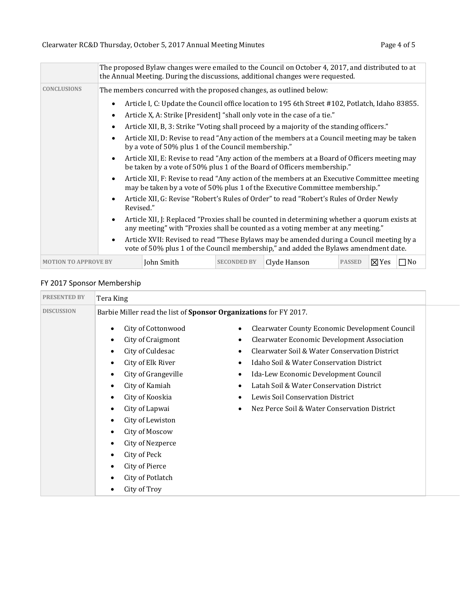|                             | The proposed Bylaw changes were emailed to the Council on October 4, 2017, and distributed to at<br>the Annual Meeting. During the discussions, additional changes were requested. |  |  |  |  |
|-----------------------------|------------------------------------------------------------------------------------------------------------------------------------------------------------------------------------|--|--|--|--|
| <b>CONCLUSIONS</b>          | The members concurred with the proposed changes, as outlined below:                                                                                                                |  |  |  |  |
|                             | Article I, C: Update the Council office location to 195 6th Street #102, Potlatch, Idaho 83855.<br>Article X, A: Strike [President] "shall only vote in the case of a tie."<br>٠   |  |  |  |  |
|                             | Article XII, B, 3: Strike "Voting shall proceed by a majority of the standing officers."                                                                                           |  |  |  |  |
|                             | Article XII, D: Revise to read "Any action of the members at a Council meeting may be taken<br>by a vote of 50% plus 1 of the Council membership."                                 |  |  |  |  |
|                             | Article XII, E: Revise to read "Any action of the members at a Board of Officers meeting may<br>be taken by a vote of 50% plus 1 of the Board of Officers membership."             |  |  |  |  |
|                             | Article XII, F: Revise to read "Any action of the members at an Executive Committee meeting<br>may be taken by a vote of 50% plus 1 of the Executive Committee membership."        |  |  |  |  |
|                             | Article XII, G: Revise "Robert's Rules of Order" to read "Robert's Rules of Order Newly<br>Revised."                                                                               |  |  |  |  |
|                             | Article XII, J: Replaced "Proxies shall be counted in determining whether a quorum exists at<br>any meeting" with "Proxies shall be counted as a voting member at any meeting."    |  |  |  |  |
|                             | Article XVII: Revised to read "These Bylaws may be amended during a Council meeting by a<br>vote of 50% plus 1 of the Council membership," and added the Bylaws amendment date.    |  |  |  |  |
| <b>MOTION TO APPROVE BY</b> | John Smith<br>Clyde Hanson<br>$\nabla$ Yes<br>$\Box$ No<br><b>SECONDED BY</b><br><b>PASSED</b>                                                                                     |  |  |  |  |

# FY 2017 Sponsor Membership

| Tera King                                                                                                                                                                                                                                                                                                                                                                                                                                                    |                                                                                                                                                                                                                                                                                                                                                                                                                                              |  |  |  |  |  |
|--------------------------------------------------------------------------------------------------------------------------------------------------------------------------------------------------------------------------------------------------------------------------------------------------------------------------------------------------------------------------------------------------------------------------------------------------------------|----------------------------------------------------------------------------------------------------------------------------------------------------------------------------------------------------------------------------------------------------------------------------------------------------------------------------------------------------------------------------------------------------------------------------------------------|--|--|--|--|--|
| Barbie Miller read the list of Sponsor Organizations for FY 2017.                                                                                                                                                                                                                                                                                                                                                                                            |                                                                                                                                                                                                                                                                                                                                                                                                                                              |  |  |  |  |  |
| City of Cottonwood<br>$\bullet$<br>City of Craigmont<br>$\bullet$<br>City of Culdesac<br>$\bullet$<br>City of Elk River<br>$\bullet$<br>City of Grangeville<br>$\bullet$<br>City of Kamiah<br>$\bullet$<br>City of Kooskia<br>$\bullet$<br>City of Lapwai<br>$\bullet$<br>City of Lewiston<br>$\bullet$<br>City of Moscow<br>$\bullet$<br>City of Nezperce<br>٠<br>City of Peck<br>$\bullet$<br>City of Pierce<br>$\bullet$<br>City of Potlatch<br>$\bullet$ | Clearwater County Economic Development Council<br>$\bullet$<br><b>Clearwater Economic Development Association</b><br>$\bullet$<br>Clearwater Soil & Water Conservation District<br>٠<br>Idaho Soil & Water Conservation District<br>$\bullet$<br>Ida-Lew Economic Development Council<br>٠<br>Latah Soil & Water Conservation District<br>٠<br>Lewis Soil Conservation District<br>Nez Perce Soil & Water Conservation District<br>$\bullet$ |  |  |  |  |  |
|                                                                                                                                                                                                                                                                                                                                                                                                                                                              | City of Troy<br>$\bullet$                                                                                                                                                                                                                                                                                                                                                                                                                    |  |  |  |  |  |